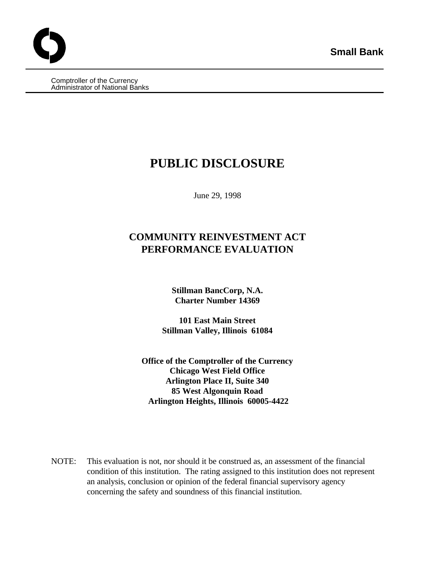Comptroller of the Currency Administrator of National Banks

# **PUBLIC DISCLOSURE**

June 29, 1998

# **COMMUNITY REINVESTMENT ACT PERFORMANCE EVALUATION**

**Stillman BancCorp, N.A. Charter Number 14369**

**101 East Main Street Stillman Valley, Illinois 61084**

**Office of the Comptroller of the Currency Chicago West Field Office Arlington Place II, Suite 340 85 West Algonquin Road Arlington Heights, Illinois 60005-4422**

NOTE: This evaluation is not, nor should it be construed as, an assessment of the financial condition of this institution. The rating assigned to this institution does not represent an analysis, conclusion or opinion of the federal financial supervisory agency concerning the safety and soundness of this financial institution.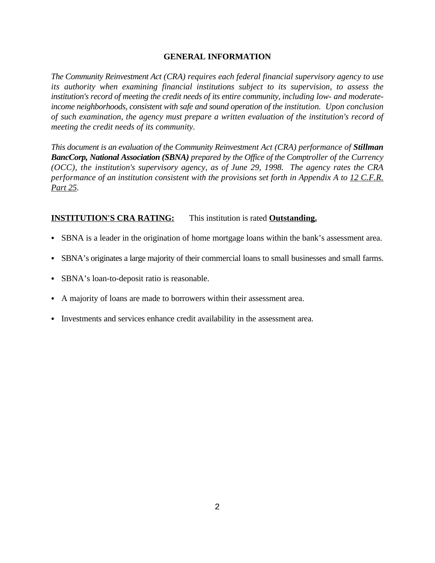# **GENERAL INFORMATION**

*The Community Reinvestment Act (CRA) requires each federal financial supervisory agency to use its authority when examining financial institutions subject to its supervision, to assess the institution's record of meeting the credit needs of its entire community, including low- and moderateincome neighborhoods, consistent with safe and sound operation of the institution. Upon conclusion of such examination, the agency must prepare a written evaluation of the institution's record of meeting the credit needs of its community.* 

*This document is an evaluation of the Community Reinvestment Act (CRA) performance of Stillman BancCorp, National Association (SBNA) prepared by the Office of the Comptroller of the Currency (OCC), the institution's supervisory agency, as of June 29, 1998. The agency rates the CRA performance of an institution consistent with the provisions set forth in Appendix A to 12 C.F.R. Part 25.*

# **INSTITUTION'S CRA RATING:** This institution is rated **Outstanding.**

- SBNA is a leader in the origination of home mortgage loans within the bank's assessment area.
- SBNA's originates a large majority of their commercial loans to small businesses and small farms.
- SBNA's loan-to-deposit ratio is reasonable.
- A majority of loans are made to borrowers within their assessment area.
- Investments and services enhance credit availability in the assessment area.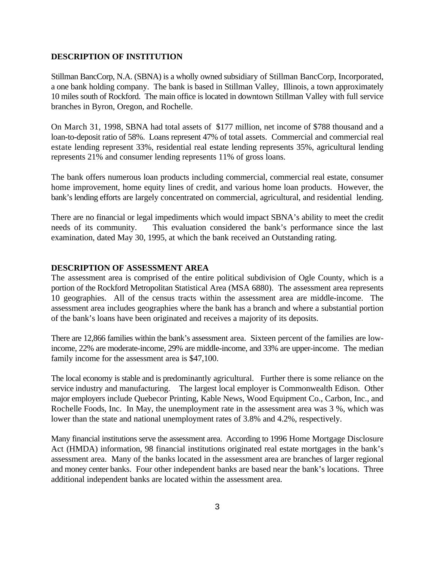#### **DESCRIPTION OF INSTITUTION**

Stillman BancCorp, N.A. (SBNA) is a wholly owned subsidiary of Stillman BancCorp, Incorporated, a one bank holding company. The bank is based in Stillman Valley, Illinois, a town approximately 10 miles south of Rockford. The main office is located in downtown Stillman Valley with full service branches in Byron, Oregon, and Rochelle.

On March 31, 1998, SBNA had total assets of \$177 million, net income of \$788 thousand and a loan-to-deposit ratio of 58%. Loans represent 47% of total assets. Commercial and commercial real estate lending represent 33%, residential real estate lending represents 35%, agricultural lending represents 21% and consumer lending represents 11% of gross loans.

The bank offers numerous loan products including commercial, commercial real estate, consumer home improvement, home equity lines of credit, and various home loan products. However, the bank's lending efforts are largely concentrated on commercial, agricultural, and residential lending.

There are no financial or legal impediments which would impact SBNA's ability to meet the credit needs of its community. This evaluation considered the bank's performance since the last examination, dated May 30, 1995, at which the bank received an Outstanding rating.

# **DESCRIPTION OF ASSESSMENT AREA**

The assessment area is comprised of the entire political subdivision of Ogle County, which is a portion of the Rockford Metropolitan Statistical Area (MSA 6880). The assessment area represents 10 geographies. All of the census tracts within the assessment area are middle-income. The assessment area includes geographies where the bank has a branch and where a substantial portion of the bank's loans have been originated and receives a majority of its deposits.

There are 12,866 families within the bank's assessment area. Sixteen percent of the families are lowincome, 22% are moderate-income, 29% are middle-income, and 33% are upper-income. The median family income for the assessment area is \$47,100.

The local economy is stable and is predominantly agricultural. Further there is some reliance on the service industry and manufacturing. The largest local employer is Commonwealth Edison. Other major employers include Quebecor Printing, Kable News, Wood Equipment Co., Carbon, Inc., and Rochelle Foods, Inc. In May, the unemployment rate in the assessment area was 3 %, which was lower than the state and national unemployment rates of 3.8% and 4.2%, respectively.

Many financial institutions serve the assessment area. According to 1996 Home Mortgage Disclosure Act (HMDA) information, 98 financial institutions originated real estate mortgages in the bank's assessment area. Many of the banks located in the assessment area are branches of larger regional and money center banks. Four other independent banks are based near the bank's locations. Three additional independent banks are located within the assessment area.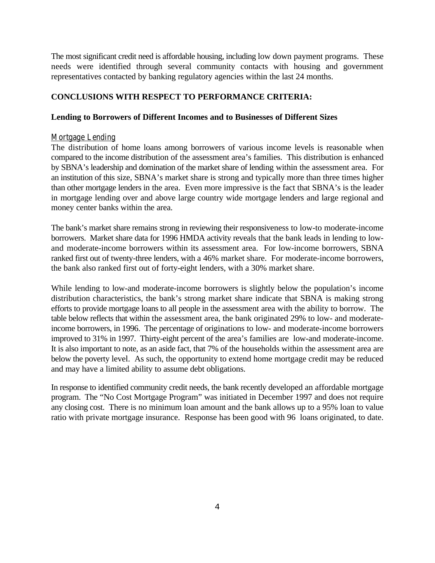The most significant credit need is affordable housing, including low down payment programs. These needs were identified through several community contacts with housing and government representatives contacted by banking regulatory agencies within the last 24 months.

# **CONCLUSIONS WITH RESPECT TO PERFORMANCE CRITERIA:**

# **Lending to Borrowers of Different Incomes and to Businesses of Different Sizes**

## Mortgage Lending

The distribution of home loans among borrowers of various income levels is reasonable when compared to the income distribution of the assessment area's families. This distribution is enhanced by SBNA's leadership and domination of the market share of lending within the assessment area. For an institution of this size, SBNA's market share is strong and typically more than three times higher than other mortgage lenders in the area. Even more impressive is the fact that SBNA's is the leader in mortgage lending over and above large country wide mortgage lenders and large regional and money center banks within the area.

The bank's market share remains strong in reviewing their responsiveness to low-to moderate-income borrowers. Market share data for 1996 HMDA activity reveals that the bank leads in lending to lowand moderate-income borrowers within its assessment area. For low-income borrowers, SBNA ranked first out of twenty-three lenders, with a 46% market share. For moderate-income borrowers, the bank also ranked first out of forty-eight lenders, with a 30% market share.

While lending to low-and moderate-income borrowers is slightly below the population's income distribution characteristics, the bank's strong market share indicate that SBNA is making strong efforts to provide mortgage loans to all people in the assessment area with the ability to borrow. The table below reflects that within the assessment area, the bank originated 29% to low- and moderateincome borrowers, in 1996. The percentage of originations to low- and moderate-income borrowers improved to 31% in 1997. Thirty-eight percent of the area's families are low-and moderate-income. It is also important to note, as an aside fact, that 7% of the households within the assessment area are below the poverty level. As such, the opportunity to extend home mortgage credit may be reduced and may have a limited ability to assume debt obligations.

In response to identified community credit needs, the bank recently developed an affordable mortgage program. The "No Cost Mortgage Program" was initiated in December 1997 and does not require any closing cost. There is no minimum loan amount and the bank allows up to a 95% loan to value ratio with private mortgage insurance. Response has been good with 96 loans originated, to date.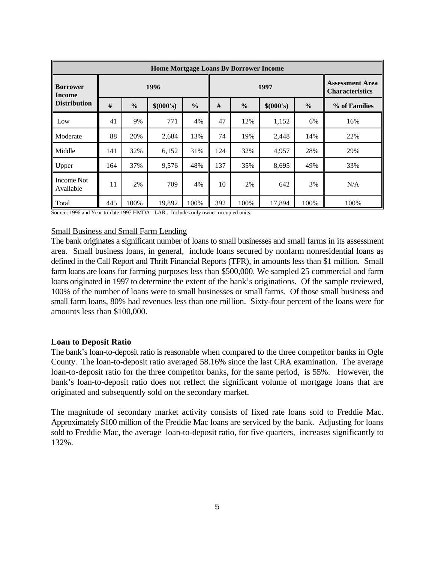| <b>Home Mortgage Loans By Borrower Income</b>    |      |               |           |               |      |               |           |               |                                                  |
|--------------------------------------------------|------|---------------|-----------|---------------|------|---------------|-----------|---------------|--------------------------------------------------|
| <b>Borrower</b><br>Income<br><b>Distribution</b> | 1996 |               |           |               | 1997 |               |           |               | <b>Assessment Area</b><br><b>Characteristics</b> |
|                                                  | #    | $\frac{6}{6}$ | \$(000's) | $\frac{6}{6}$ | #    | $\frac{0}{0}$ | \$(000's) | $\frac{6}{9}$ | % of Families                                    |
| Low                                              | 41   | 9%            | 771       | 4%            | 47   | 12%           | 1,152     | 6%            | 16%                                              |
| Moderate                                         | 88   | 20%           | 2,684     | 13%           | 74   | 19%           | 2,448     | 14%           | 22%                                              |
| Middle                                           | 141  | 32%           | 6,152     | 31%           | 124  | 32%           | 4,957     | 28%           | 29%                                              |
| Upper                                            | 164  | 37%           | 9.576     | 48%           | 137  | 35%           | 8,695     | 49%           | 33%                                              |
| <b>Income Not</b><br>Available                   | 11   | 2%            | 709       | 4%            | 10   | 2%            | 642       | 3%            | N/A                                              |
| Total                                            | 445  | 100%          | 19,892    | 100%          | 392  | 100%          | 17,894    | 100%          | 100%                                             |

Source: 1996 and Year-to-date 1997 HMDA - LAR . Includes only owner-occupied units.

#### Small Business and Small Farm Lending

The bank originates a significant number of loans to small businesses and small farms in its assessment area. Small business loans, in general, include loans secured by nonfarm nonresidential loans as defined in the Call Report and Thrift Financial Reports (TFR), in amounts less than \$1 million. Small farm loans are loans for farming purposes less than \$500,000. We sampled 25 commercial and farm loans originated in 1997 to determine the extent of the bank's originations. Of the sample reviewed, 100% of the number of loans were to small businesses or small farms. Of those small business and small farm loans, 80% had revenues less than one million. Sixty-four percent of the loans were for amounts less than \$100,000.

#### **Loan to Deposit Ratio**

The bank's loan-to-deposit ratio is reasonable when compared to the three competitor banks in Ogle County. The loan-to-deposit ratio averaged 58.16% since the last CRA examination. The average loan-to-deposit ratio for the three competitor banks, for the same period, is 55%. However, the bank's loan-to-deposit ratio does not reflect the significant volume of mortgage loans that are originated and subsequently sold on the secondary market.

The magnitude of secondary market activity consists of fixed rate loans sold to Freddie Mac. Approximately \$100 million of the Freddie Mac loans are serviced by the bank. Adjusting for loans sold to Freddie Mac, the average loan-to-deposit ratio, for five quarters, increases significantly to 132%.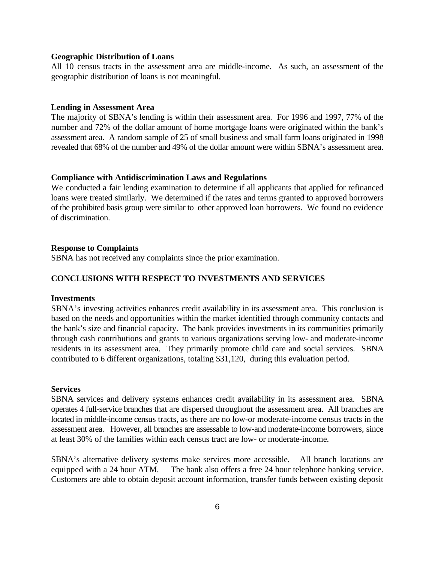#### **Geographic Distribution of Loans**

All 10 census tracts in the assessment area are middle-income. As such, an assessment of the geographic distribution of loans is not meaningful.

#### **Lending in Assessment Area**

The majority of SBNA's lending is within their assessment area. For 1996 and 1997, 77% of the number and 72% of the dollar amount of home mortgage loans were originated within the bank's assessment area. A random sample of 25 of small business and small farm loans originated in 1998 revealed that 68% of the number and 49% of the dollar amount were within SBNA's assessment area.

#### **Compliance with Antidiscrimination Laws and Regulations**

We conducted a fair lending examination to determine if all applicants that applied for refinanced loans were treated similarly. We determined if the rates and terms granted to approved borrowers of the prohibited basis group were similar to other approved loan borrowers. We found no evidence of discrimination.

#### **Response to Complaints**

SBNA has not received any complaints since the prior examination.

# **CONCLUSIONS WITH RESPECT TO INVESTMENTS AND SERVICES**

#### **Investments**

SBNA's investing activities enhances credit availability in its assessment area. This conclusion is based on the needs and opportunities within the market identified through community contacts and the bank's size and financial capacity. The bank provides investments in its communities primarily through cash contributions and grants to various organizations serving low- and moderate-income residents in its assessment area. They primarily promote child care and social services. SBNA contributed to 6 different organizations, totaling \$31,120, during this evaluation period.

#### **Services**

SBNA services and delivery systems enhances credit availability in its assessment area. SBNA operates 4 full-service branches that are dispersed throughout the assessment area. All branches are located in middle-income census tracts, as there are no low-or moderate-income census tracts in the assessment area. However, all branches are assessable to low-and moderate-income borrowers, since at least 30% of the families within each census tract are low- or moderate-income.

SBNA's alternative delivery systems make services more accessible. All branch locations are equipped with a 24 hour ATM. The bank also offers a free 24 hour telephone banking service. Customers are able to obtain deposit account information, transfer funds between existing deposit